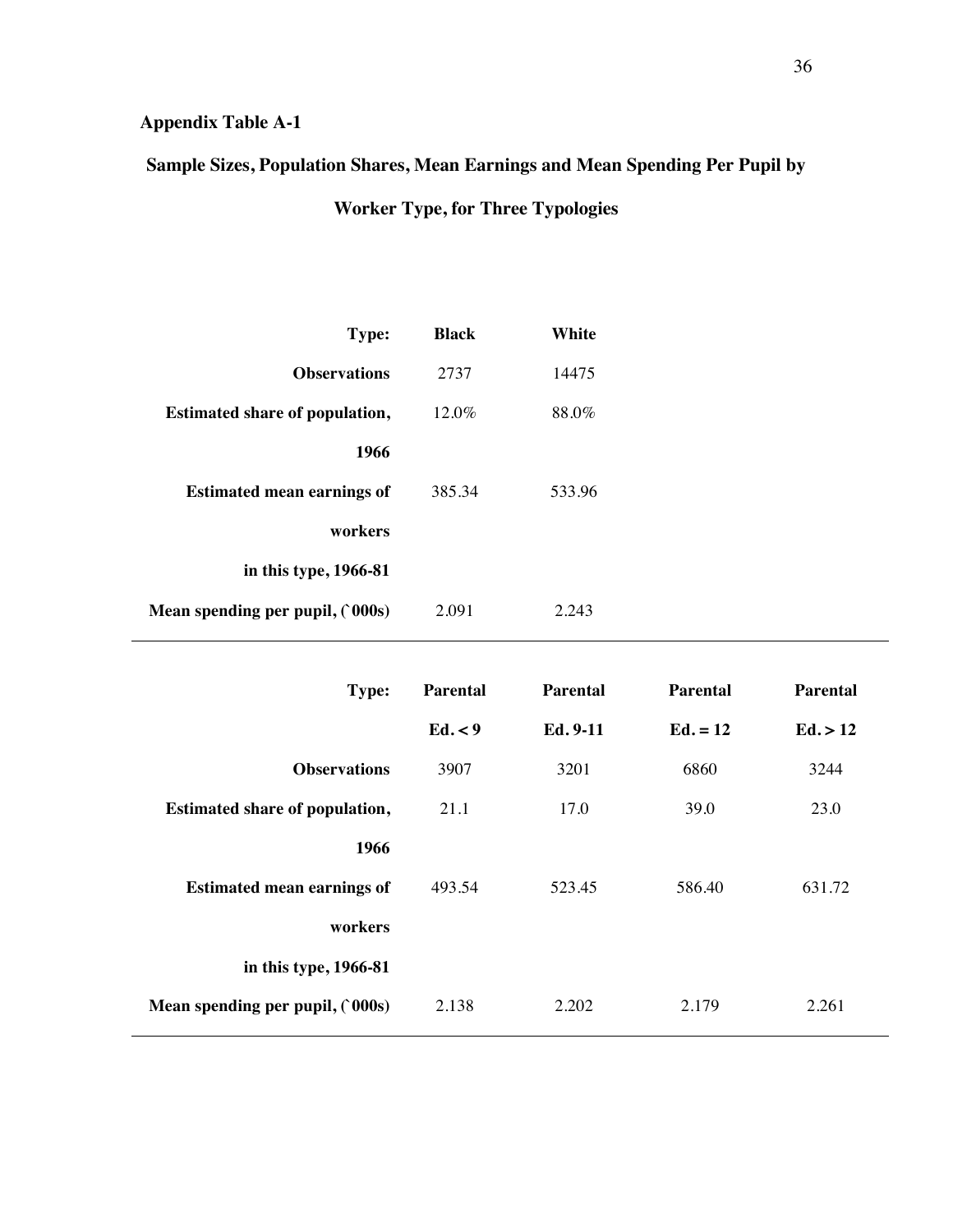## **Appendix Table A-1**

## **Sample Sizes, Population Shares, Mean Earnings and Mean Spending Per Pupil by**

**Worker Type, for Three Typologies**

| Type:                                 | <b>Black</b> | White  |
|---------------------------------------|--------------|--------|
| <b>Observations</b>                   | 2737         | 14475  |
| <b>Estimated share of population,</b> | $12.0\%$     | 88.0%  |
| 1966                                  |              |        |
| <b>Estimated mean earnings of</b>     | 385.34       | 533.96 |
| workers                               |              |        |
| in this type, 1966-81                 |              |        |
| Mean spending per pupil, (`000s)      | 2.091        | 2.243  |
|                                       |              |        |

| Type:                                 | <b>Parental</b> | <b>Parental</b> | <b>Parental</b> | <b>Parental</b> |
|---------------------------------------|-----------------|-----------------|-----------------|-----------------|
|                                       | Ed. < 9         | Ed. 9-11        | $Ed. = 12$      | Ed. > 12        |
| <b>Observations</b>                   | 3907            | 3201            | 6860            | 3244            |
| <b>Estimated share of population,</b> | 21.1            | 17.0            | 39.0            | 23.0            |
| 1966                                  |                 |                 |                 |                 |
| <b>Estimated mean earnings of</b>     | 493.54          | 523.45          | 586.40          | 631.72          |
| workers                               |                 |                 |                 |                 |
| in this type, 1966-81                 |                 |                 |                 |                 |
| Mean spending per pupil, $(000s)$     | 2.138           | 2.202           | 2.179           | 2.261           |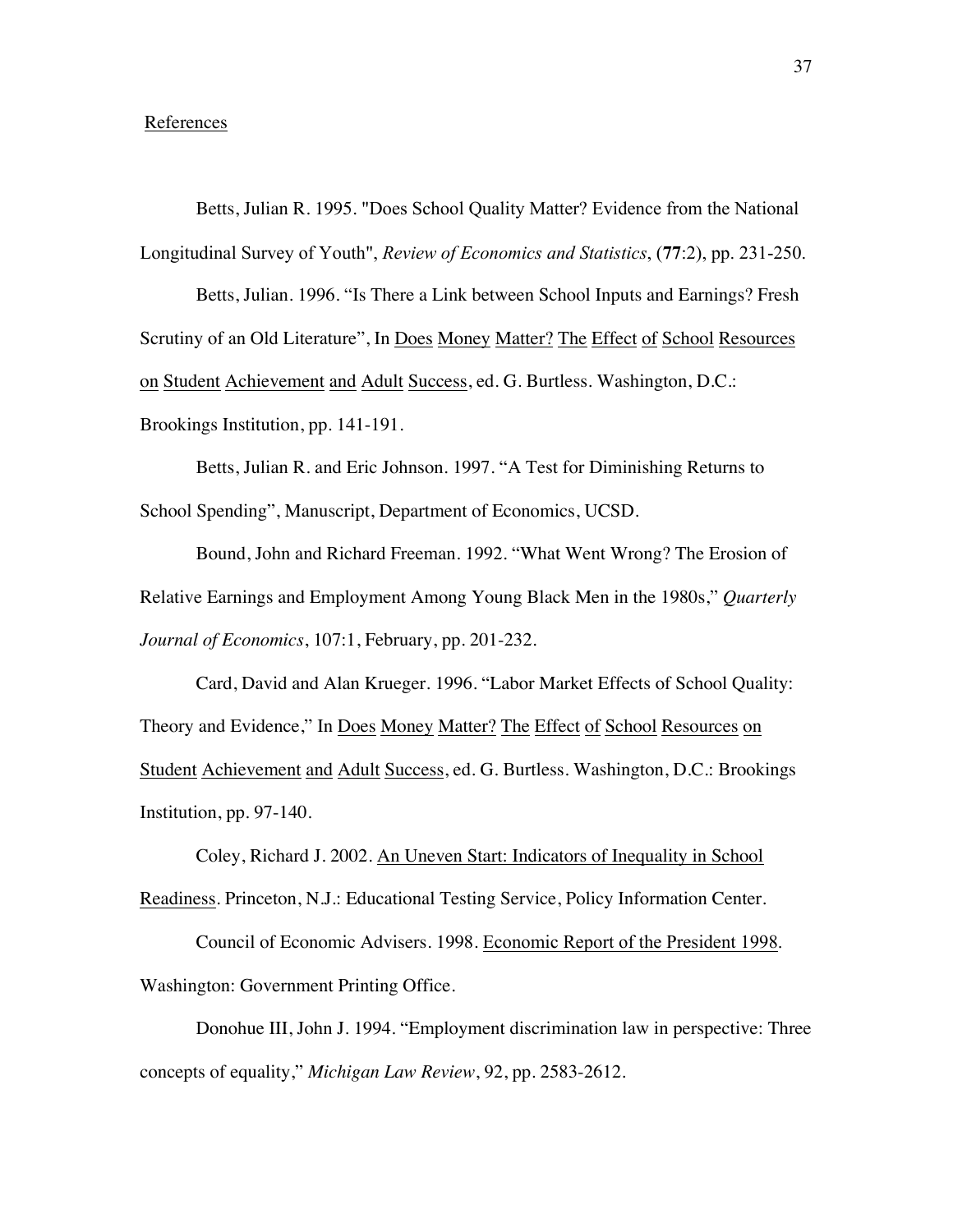## References

Betts, Julian R. 1995. "Does School Quality Matter? Evidence from the National Longitudinal Survey of Youth", *Review of Economics and Statistics*, (**77**:2), pp. 231-250.

Betts, Julian. 1996. "Is There a Link between School Inputs and Earnings? Fresh Scrutiny of an Old Literature", In Does Money Matter? The Effect of School Resources on Student Achievement and Adult Success, ed. G. Burtless. Washington, D.C.: Brookings Institution, pp. 141-191.

Betts, Julian R. and Eric Johnson. 1997. "A Test for Diminishing Returns to School Spending", Manuscript, Department of Economics, UCSD.

Bound, John and Richard Freeman. 1992. "What Went Wrong? The Erosion of Relative Earnings and Employment Among Young Black Men in the 1980s," *Quarterly Journal of Economics*, 107:1, February, pp. 201-232.

Card, David and Alan Krueger. 1996. "Labor Market Effects of School Quality: Theory and Evidence," In Does Money Matter? The Effect of School Resources on Student Achievement and Adult Success, ed. G. Burtless. Washington, D.C.: Brookings Institution, pp. 97-140.

Coley, Richard J. 2002. An Uneven Start: Indicators of Inequality in School Readiness. Princeton, N.J.: Educational Testing Service, Policy Information Center.

Council of Economic Advisers. 1998. Economic Report of the President 1998. Washington: Government Printing Office.

Donohue III, John J. 1994. "Employment discrimination law in perspective: Three concepts of equality," *Michigan Law Review*, 92, pp. 2583-2612.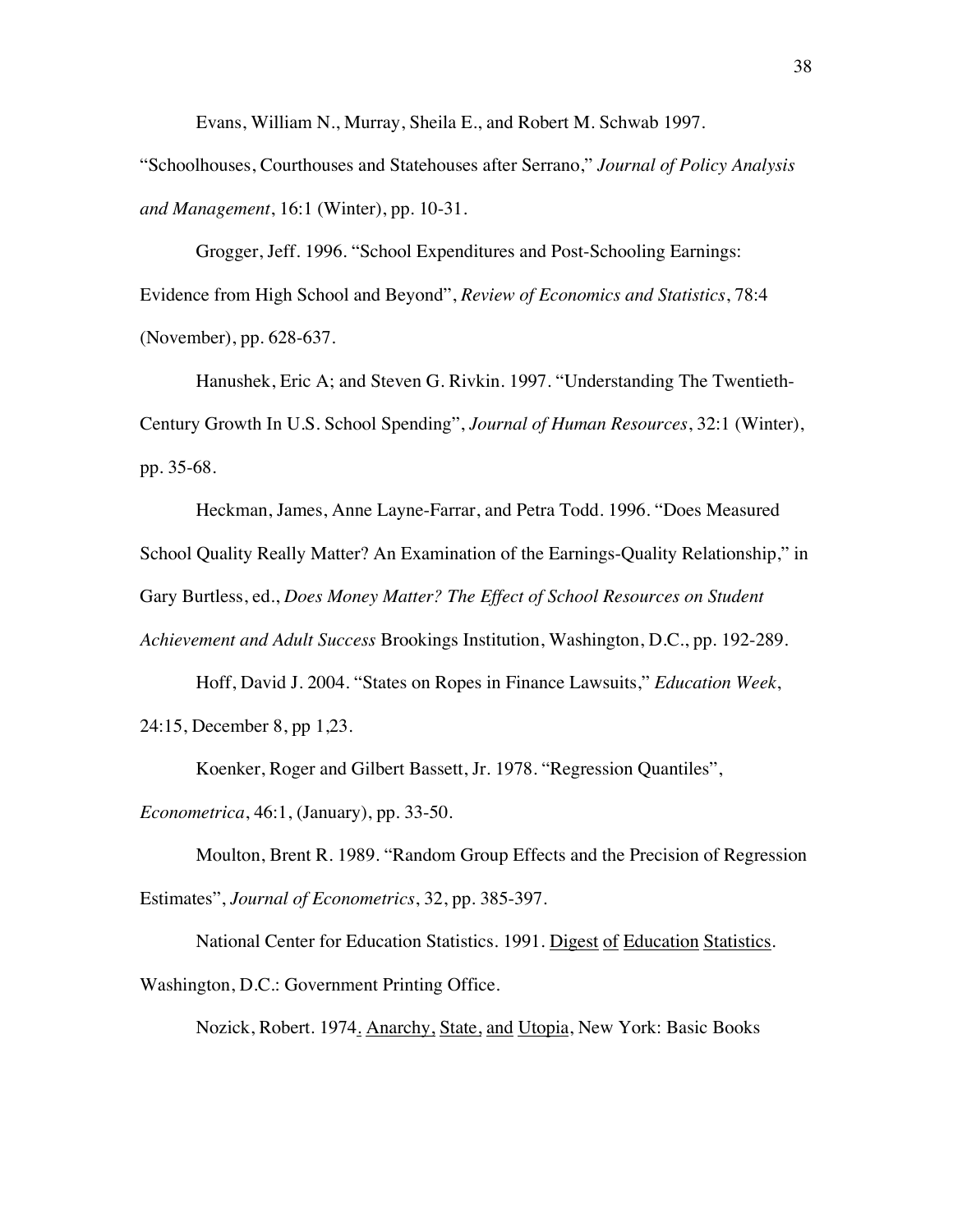Evans, William N., Murray, Sheila E., and Robert M. Schwab 1997.

"Schoolhouses, Courthouses and Statehouses after Serrano," *Journal of Policy Analysis and Management*, 16:1 (Winter), pp. 10-31.

Grogger, Jeff. 1996. "School Expenditures and Post-Schooling Earnings: Evidence from High School and Beyond", *Review of Economics and Statistics*, 78:4 (November), pp. 628-637.

Hanushek, Eric A; and Steven G. Rivkin. 1997. "Understanding The Twentieth-Century Growth In U.S. School Spending", *Journal of Human Resources*, 32:1 (Winter), pp. 35-68.

Heckman, James, Anne Layne-Farrar, and Petra Todd. 1996. "Does Measured School Quality Really Matter? An Examination of the Earnings-Quality Relationship," in Gary Burtless, ed., *Does Money Matter? The Effect of School Resources on Student Achievement and Adult Success* Brookings Institution, Washington, D.C., pp. 192-289.

Hoff, David J. 2004. "States on Ropes in Finance Lawsuits," *Education Week*, 24:15, December 8, pp 1,23.

Koenker, Roger and Gilbert Bassett, Jr. 1978. "Regression Quantiles",

*Econometrica*, 46:1, (January), pp. 33-50.

Moulton, Brent R. 1989. "Random Group Effects and the Precision of Regression Estimates", *Journal of Econometrics*, 32, pp. 385-397.

National Center for Education Statistics. 1991. Digest of Education Statistics.

Washington, D.C.: Government Printing Office.

Nozick, Robert. 1974. Anarchy, State, and Utopia, New York: Basic Books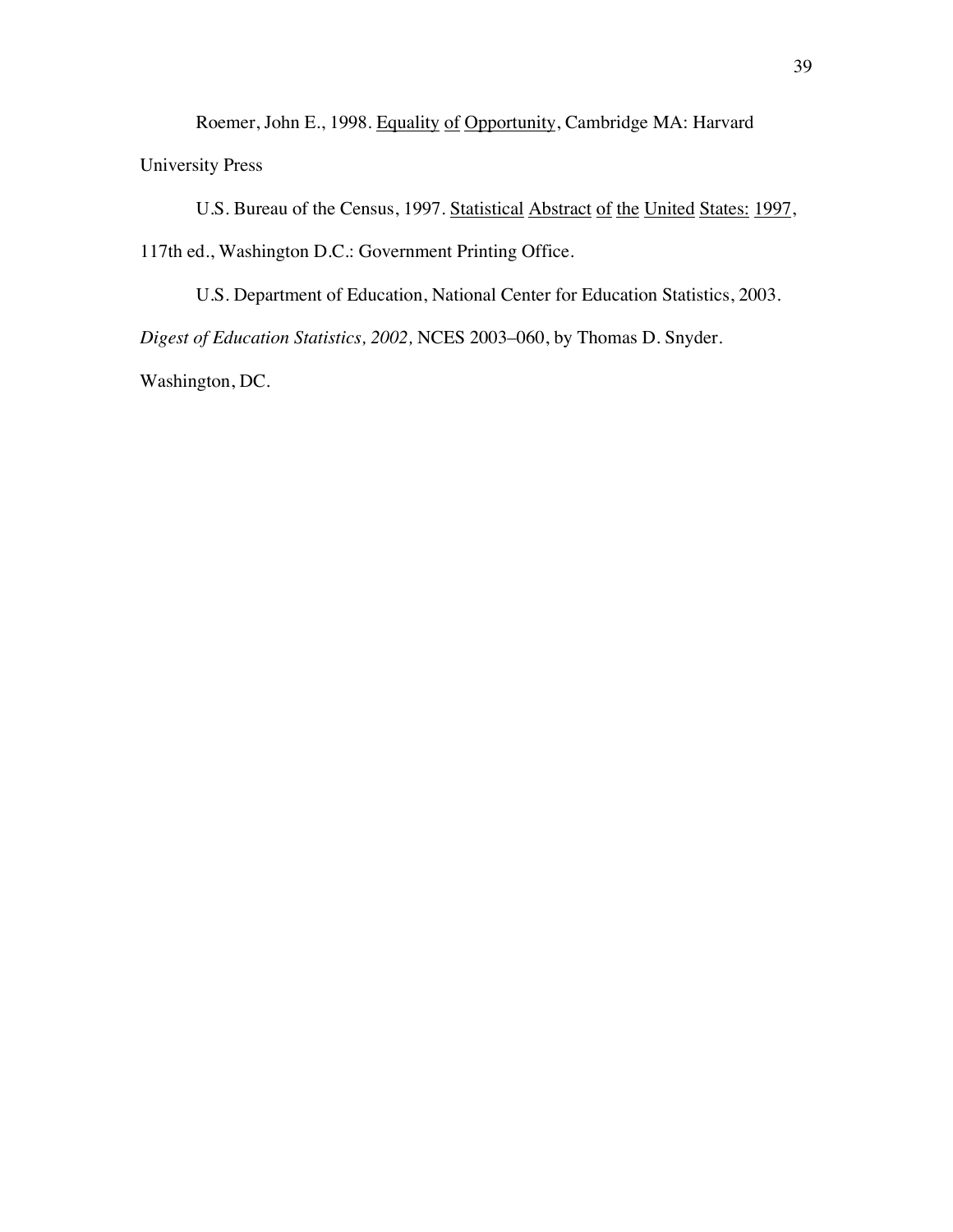Roemer, John E., 1998. Equality of Opportunity, Cambridge MA: Harvard University Press

U.S. Bureau of the Census, 1997. Statistical Abstract of the United States: 1997, 117th ed., Washington D.C.: Government Printing Office.

U.S. Department of Education, National Center for Education Statistics, 2003. *Digest of Education Statistics, 2002,* NCES 2003–060, by Thomas D. Snyder. Washington, DC.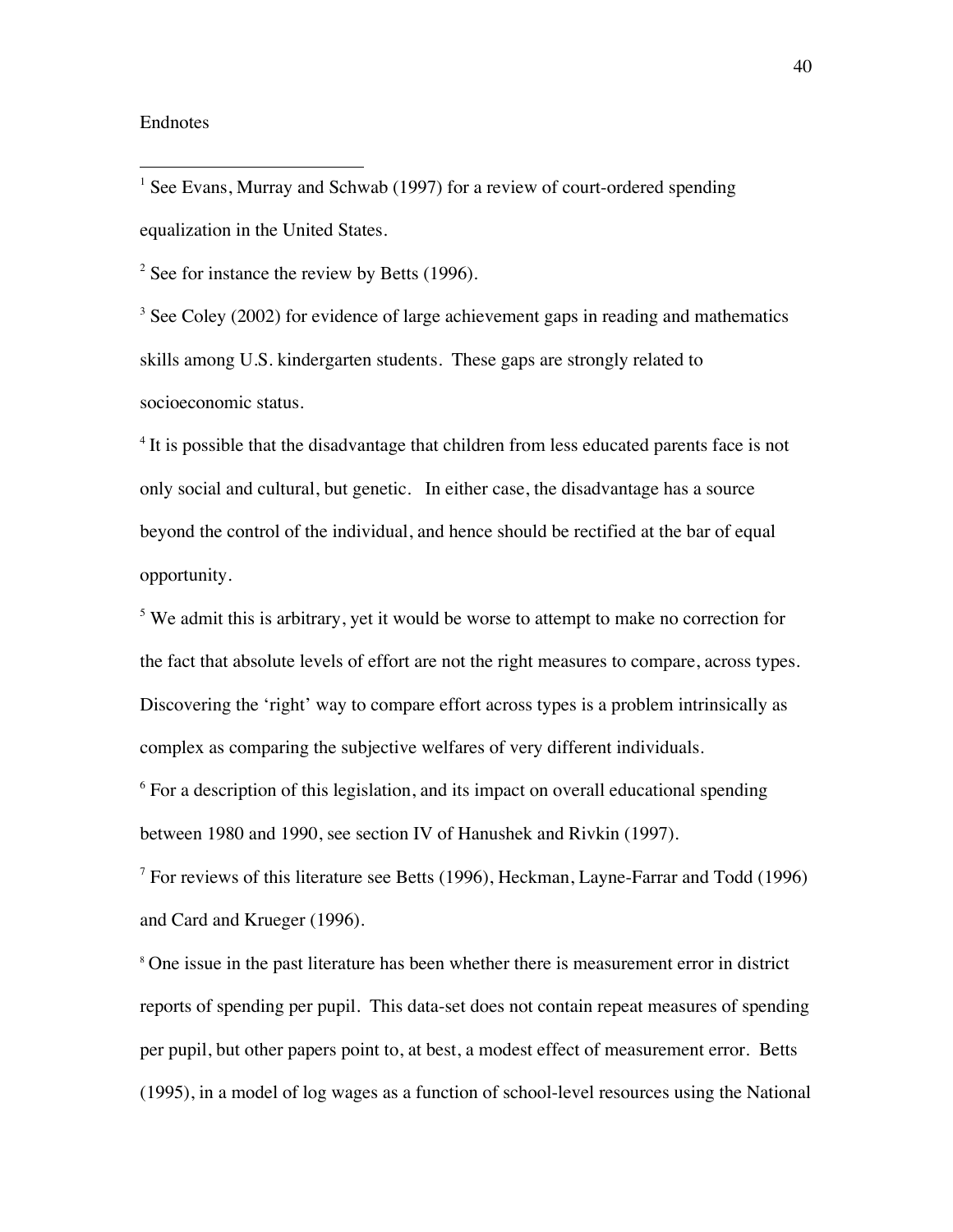## Endnotes

 $1$  See Evans, Murray and Schwab (1997) for a review of court-ordered spending equalization in the United States.

 $2^2$  See for instance the review by Betts (1996).

 $3$  See Coley (2002) for evidence of large achievement gaps in reading and mathematics skills among U.S. kindergarten students. These gaps are strongly related to socioeconomic status.

<sup>4</sup> It is possible that the disadvantage that children from less educated parents face is not only social and cultural, but genetic. In either case, the disadvantage has a source beyond the control of the individual, and hence should be rectified at the bar of equal opportunity.

 $5$  We admit this is arbitrary, yet it would be worse to attempt to make no correction for the fact that absolute levels of effort are not the right measures to compare, across types. Discovering the 'right' way to compare effort across types is a problem intrinsically as complex as comparing the subjective welfares of very different individuals.

 $6$  For a description of this legislation, and its impact on overall educational spending between 1980 and 1990, see section IV of Hanushek and Rivkin (1997).

 $7$  For reviews of this literature see Betts (1996), Heckman, Layne-Farrar and Todd (1996) and Card and Krueger (1996).

<sup>8</sup> One issue in the past literature has been whether there is measurement error in district reports of spending per pupil. This data-set does not contain repeat measures of spending per pupil, but other papers point to, at best, a modest effect of measurement error. Betts (1995), in a model of log wages as a function of school-level resources using the National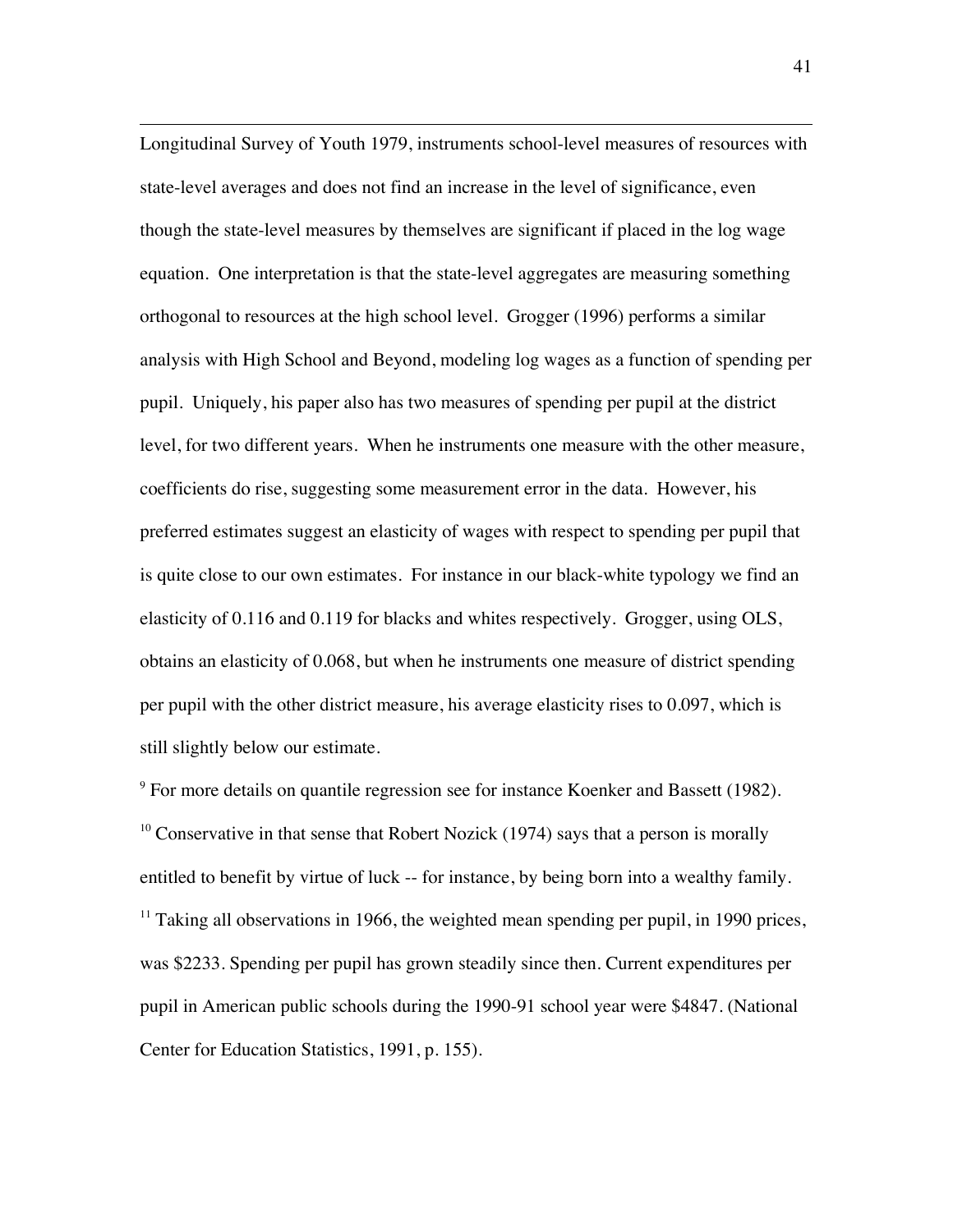$\overline{a}$ Longitudinal Survey of Youth 1979, instruments school-level measures of resources with state-level averages and does not find an increase in the level of significance, even though the state-level measures by themselves are significant if placed in the log wage equation. One interpretation is that the state-level aggregates are measuring something orthogonal to resources at the high school level. Grogger (1996) performs a similar analysis with High School and Beyond, modeling log wages as a function of spending per pupil. Uniquely, his paper also has two measures of spending per pupil at the district level, for two different years. When he instruments one measure with the other measure, coefficients do rise, suggesting some measurement error in the data. However, his preferred estimates suggest an elasticity of wages with respect to spending per pupil that is quite close to our own estimates. For instance in our black-white typology we find an elasticity of 0.116 and 0.119 for blacks and whites respectively. Grogger, using OLS, obtains an elasticity of 0.068, but when he instruments one measure of district spending per pupil with the other district measure, his average elasticity rises to 0.097, which is still slightly below our estimate.

 $9^9$  For more details on quantile regression see for instance Koenker and Bassett (1982). <sup>10</sup> Conservative in that sense that Robert Nozick (1974) says that a person is morally entitled to benefit by virtue of luck -- for instance, by being born into a wealthy family.  $11$  Taking all observations in 1966, the weighted mean spending per pupil, in 1990 prices, was \$2233. Spending per pupil has grown steadily since then. Current expenditures per pupil in American public schools during the 1990-91 school year were \$4847. (National Center for Education Statistics, 1991, p. 155).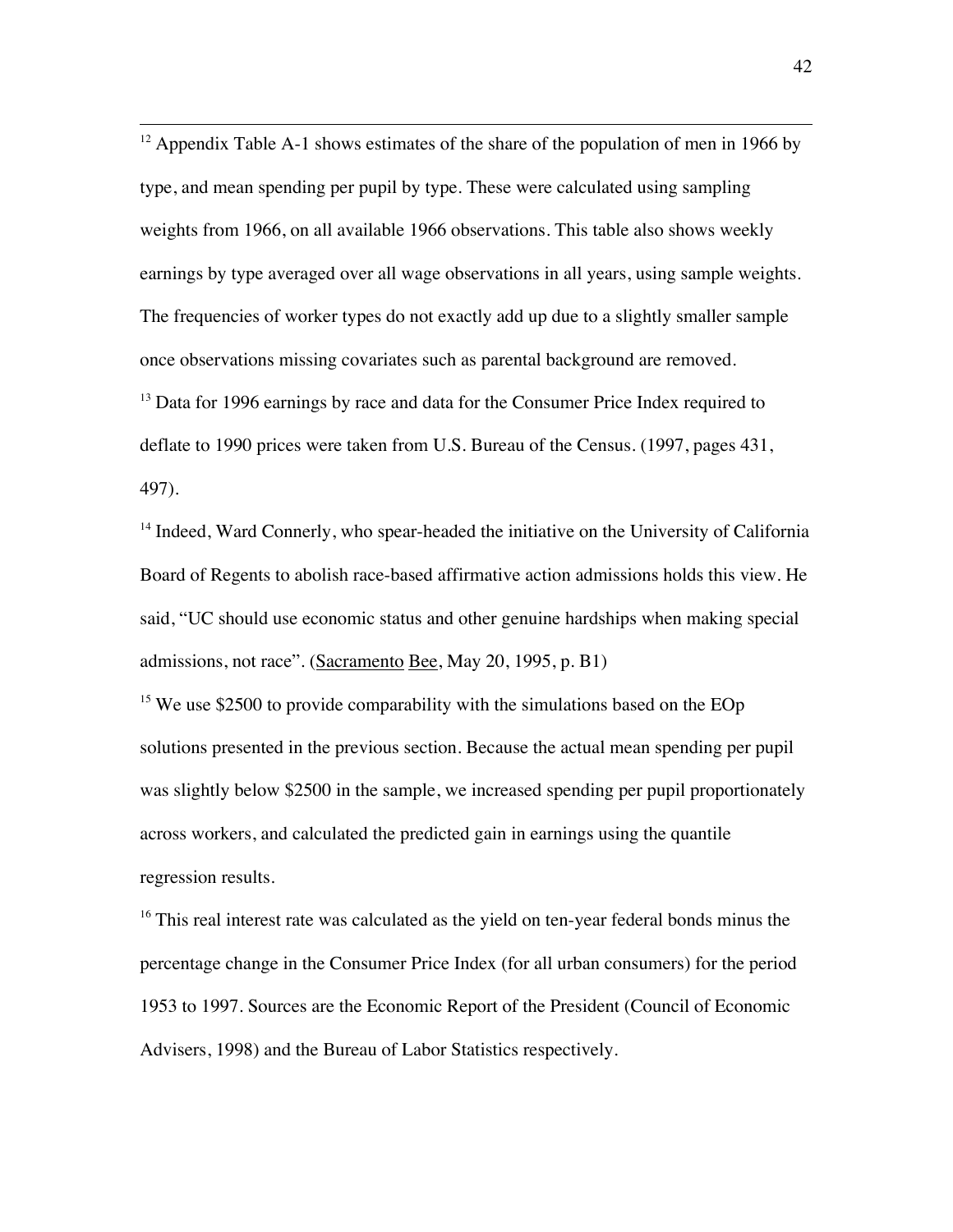<sup>12</sup> Appendix Table A-1 shows estimates of the share of the population of men in 1966 by type, and mean spending per pupil by type. These were calculated using sampling weights from 1966, on all available 1966 observations. This table also shows weekly earnings by type averaged over all wage observations in all years, using sample weights. The frequencies of worker types do not exactly add up due to a slightly smaller sample once observations missing covariates such as parental background are removed.  $13$  Data for 1996 earnings by race and data for the Consumer Price Index required to deflate to 1990 prices were taken from U.S. Bureau of the Census. (1997, pages 431, 497).

<sup>14</sup> Indeed, Ward Connerly, who spear-headed the initiative on the University of California Board of Regents to abolish race-based affirmative action admissions holds this view. He said, "UC should use economic status and other genuine hardships when making special admissions, not race". (Sacramento Bee, May 20, 1995, p. B1)

<sup>15</sup> We use \$2500 to provide comparability with the simulations based on the EOp solutions presented in the previous section. Because the actual mean spending per pupil was slightly below \$2500 in the sample, we increased spending per pupil proportionately across workers, and calculated the predicted gain in earnings using the quantile regression results.

 $16$ <sup>16</sup> This real interest rate was calculated as the yield on ten-year federal bonds minus the percentage change in the Consumer Price Index (for all urban consumers) for the period 1953 to 1997. Sources are the Economic Report of the President (Council of Economic Advisers, 1998) and the Bureau of Labor Statistics respectively.